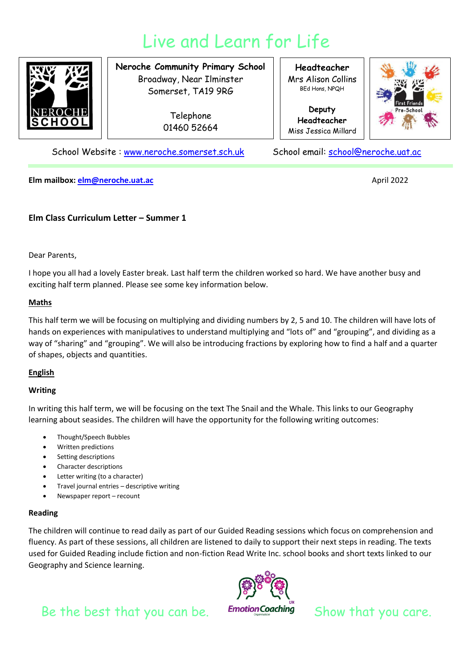# Live and Learn for Life



**Neroche Community Primary School** Broadway, Near Ilminster Somerset, TA19 9RG

> Telephone 01460 52664

**Headteacher** Mrs Alison Collins BEd Hons, NPQH

**Deputy Headteacher** Miss Jessica Millard



School Website : [www.neroche.somerset.sch.uk](http://www.neroche.somerset.sch.uk/) School email: [school@neroche.uat.ac](mailto:school@neroche.uat.ac)

**Elm mailbox[: elm@neroche.uat.ac](mailto:elm@neroche.uat.ac)** April 2022

# **Elm Class Curriculum Letter – Summer 1**

Dear Parents,

I hope you all had a lovely Easter break. Last half term the children worked so hard. We have another busy and exciting half term planned. Please see some key information below.

## **Maths**

This half term we will be focusing on multiplying and dividing numbers by 2, 5 and 10. The children will have lots of hands on experiences with manipulatives to understand multiplying and "lots of" and "grouping", and dividing as a way of "sharing" and "grouping". We will also be introducing fractions by exploring how to find a half and a quarter of shapes, objects and quantities.

# **English**

## **Writing**

In writing this half term, we will be focusing on the text The Snail and the Whale. This links to our Geography learning about seasides. The children will have the opportunity for the following writing outcomes:

- Thought/Speech Bubbles
- Written predictions
- Setting descriptions
- Character descriptions
- Letter writing (to a character)
- Travel journal entries descriptive writing
- Newspaper report recount

## **Reading**

The children will continue to read daily as part of our Guided Reading sessions which focus on comprehension and fluency. As part of these sessions, all children are listened to daily to support their next steps in reading. The texts used for Guided Reading include fiction and non-fiction Read Write Inc. school books and short texts linked to our Geography and Science learning.



Be the best that you can be. Emotion Coaching Show that you care.